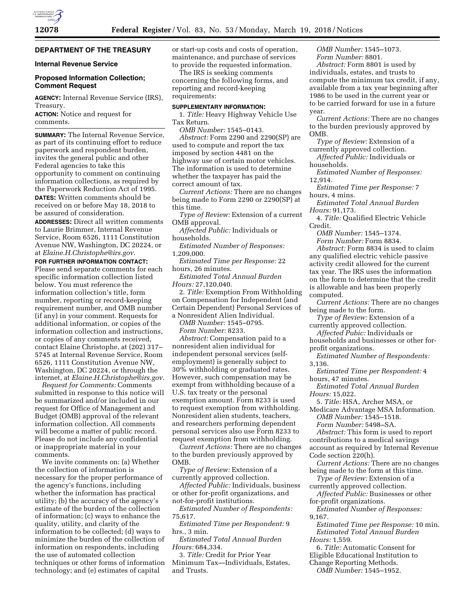# **DEPARTMENT OF THE TREASURY**

# **Internal Revenue Service**

#### **Proposed Information Collection; Comment Request**

**AGENCY:** Internal Revenue Service (IRS), Treasury.

**ACTION:** Notice and request for comments.

**SUMMARY:** The Internal Revenue Service, as part of its continuing effort to reduce paperwork and respondent burden, invites the general public and other Federal agencies to take this opportunity to comment on continuing information collections, as required by the Paperwork Reduction Act of 1995.

**DATES:** Written comments should be received on or before May 18, 2018 to be assured of consideration.

**ADDRESSES:** Direct all written comments to Laurie Brimmer, Internal Revenue Service, Room 6526, 1111 Constitution Avenue NW, Washington, DC 20224, or at *[Elaine.H.Christophe@irs.gov.](mailto:Elaine.H.Christophe@irs.gov)* 

**FOR FURTHER INFORMATION CONTACT:**  Please send separate comments for each specific information collection listed below. You must reference the information collection's title, form number, reporting or record-keeping requirement number, and OMB number (if any) in your comment. Requests for additional information, or copies of the information collection and instructions, or copies of any comments received, contact Elaine Christophe, at (202) 317– 5745 at Internal Revenue Service, Room 6526, 1111 Constitution Avenue NW, Washington, DC 20224, or through the internet, at *[Elaine.H.Christophe@irs.gov.](mailto:Elaine.H.Christophe@irs.gov)* 

*Request for Comments:* Comments submitted in response to this notice will be summarized and/or included in our request for Office of Management and Budget (OMB) approval of the relevant information collection. All comments will become a matter of public record. Please do not include any confidential or inappropriate material in your comments.

We invite comments on: (a) Whether the collection of information is necessary for the proper performance of the agency's functions, including whether the information has practical utility; (b) the accuracy of the agency's estimate of the burden of the collection of information; (c) ways to enhance the quality, utility, and clarity of the information to be collected; (d) ways to minimize the burden of the collection of information on respondents, including the use of automated collection techniques or other forms of information technology; and (e) estimates of capital

or start-up costs and costs of operation, maintenance, and purchase of services to provide the requested information.

The IRS is seeking comments concerning the following forms, and reporting and record-keeping requirements:

#### **SUPPLEMENTARY INFORMATION:**

1. *Title:* Heavy Highway Vehicle Use Tax Return.

*OMB Number:* 1545–0143.

*Abstract:* Form 2290 and 2290(SP) are used to compute and report the tax imposed by section 4481 on the highway use of certain motor vehicles. The information is used to determine whether the taxpayer has paid the correct amount of tax.

*Current Actions:* There are no changes being made to Form 2290 or 2290(SP) at this time.

*Type of Review:* Extension of a current OMB approval.

*Affected Public:* Individuals or households.

*Estimated Number of Responses:*  1,209,000.

*Estimated Time per Response:* 22 hours, 26 minutes.

*Estimated Total Annual Burden Hours:* 27,120,040.

2. *Title:* Exemption From Withholding on Compensation for Independent (and Certain Dependent) Personal Services of a Nonresident Alien Individual.

*OMB Number:* 1545–0795. *Form Number:* 8233.

*Abstract:* Compensation paid to a nonresident alien individual for independent personal services (selfemployment) is generally subject to 30% withholding or graduated rates. However, such compensation may be exempt from withholding because of a U.S. tax treaty or the personal exemption amount. Form 8233 is used to request exemption from withholding. Nonresident alien students, teachers, and researchers performing dependent personal services also use Form 8233 to request exemption from withholding.

*Current Actions:* There are no changes to the burden previously approved by OMB.

*Type of Review:* Extension of a currently approved collection.

*Affected Public:* Individuals, business or other for-profit organizations, and not-for-profit institutions.

*Estimated Number of Respondents:*  75,617.

*Estimated Time per Respondent:* 9 hrs., 3 min.

*Estimated Total Annual Burden Hours:* 684,334.

3. *Title:* Credit for Prior Year Minimum Tax—Individuals, Estates, and Trusts.

*OMB Number:* 1545–1073. *Form Number:* 8801.

*Abstract:* Form 8801 is used by individuals, estates, and trusts to compute the minimum tax credit, if any, available from a tax year beginning after 1986 to be used in the current year or to be carried forward for use in a future year.

*Current Actions:* There are no changes to the burden previously approved by OMB.

*Type of Review:* Extension of a currently approved collection.

*Affected Public:* Individuals or households.

*Estimated Number of Responses:*  12,914.

*Estimated Time per Response:* 7 hours, 4 mins.

*Estimated Total Annual Burden Hours:* 91,173.

4. *Title:* Qualified Electric Vehicle Credit.

*OMB Number:* 1545–1374.

*Form Number:* Form 8834.

*Abstract:* Form 8834 is used to claim any qualified electric vehicle passive activity credit allowed for the current tax year. The IRS uses the information on the form to determine that the credit is allowable and has been properly computed.

*Current Actions:* There are no changes being made to the form.

*Type of Review:* Extension of a currently approved collection.

*Affected Pubic:* Individuals or

households and businesses or other forprofit organizations.

*Estimated Number of Respondents:*  3,136.

*Estimated Time per Respondent:* 4 hours, 47 minutes.

*Estimated Total Annual Burden Hours:* 15,022.

5. *Title:* HSA, Archer MSA, or Medicare Advantage MSA Information. *OMB Number:* 1545–1518.

*Form Number:* 5498–SA.

*Abstract:* This form is used to report contributions to a medical savings account as required by Internal Revenue

Code section 220(h).

*Current Actions:* There are no changes being made to the form at this time.

*Type of Review:* Extension of a currently approved collection.

*Affected Public:* Businesses or other for-profit organizations.

*Estimated Number of Responses:*  9,167.

*Estimated Time per Response:* 10 min. *Estimated Total Annual Burden Hours:* 1,559.

6. *Title:* Automatic Consent for Eligible Educational Institution to

Change Reporting Methods.

*OMB Number:* 1545–1952.